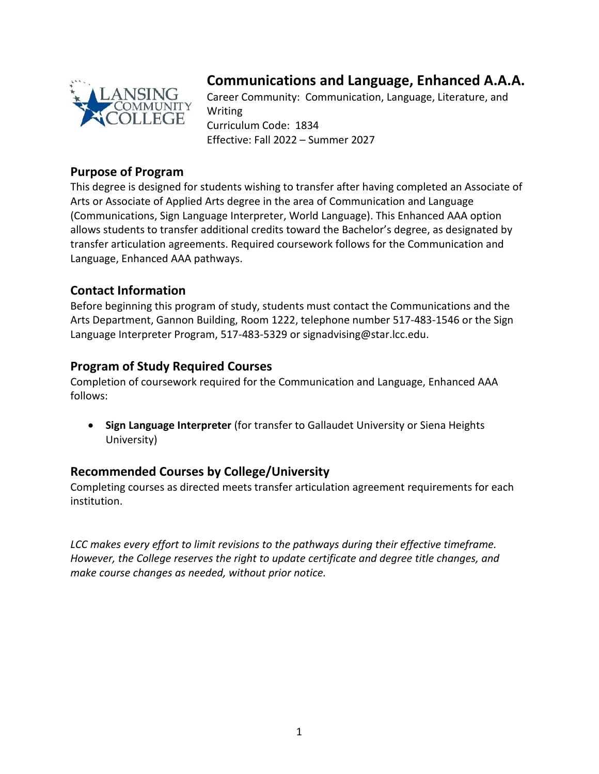

# **Communications and Language, Enhanced A.A.A.**

Career Community: Communication, Language, Literature, and Writing Curriculum Code: 1834 Effective: Fall 2022 – Summer 2027

# **Purpose of Program**

This degree is designed for students wishing to transfer after having completed an Associate of Arts or Associate of Applied Arts degree in the area of Communication and Language (Communications, Sign Language Interpreter, World Language). This Enhanced AAA option allows students to transfer additional credits toward the Bachelor's degree, as designated by transfer articulation agreements. Required coursework follows for the Communication and Language, Enhanced AAA pathways.

# **Contact Information**

Before beginning this program of study, students must contact the Communications and the Arts Department, Gannon Building, Room 1222, telephone number 517-483-1546 or the Sign Language Interpreter Program, 517-483-5329 or signadvising@star.lcc.edu.

# **Program of Study Required Courses**

Completion of coursework required for the Communication and Language, Enhanced AAA follows:

• **Sign Language Interpreter** (for transfer to Gallaudet University or Siena Heights University)

# **Recommended Courses by College/University**

Completing courses as directed meets transfer articulation agreement requirements for each institution.

*LCC makes every effort to limit revisions to the pathways during their effective timeframe. However, the College reserves the right to update certificate and degree title changes, and make course changes as needed, without prior notice.*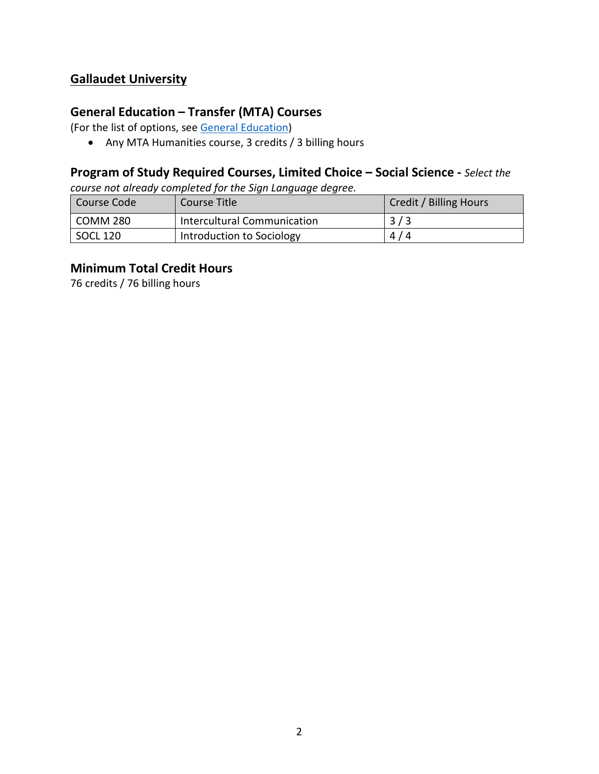# **Gallaudet University**

#### **General Education – Transfer (MTA) Courses**

(For the list of options, see [General Education\)](https://www.lcc.edu/general-education/)

• Any MTA Humanities course, 3 credits / 3 billing hours

#### **Program of Study Required Courses, Limited Choice – Social Science -** *Select the*

*course not already completed for the Sign Language degree.*

| Course Code | Course Title                | Credit / Billing Hours |
|-------------|-----------------------------|------------------------|
| COMM 280    | Intercultural Communication | 3/3                    |
| SOCL 120    | Introduction to Sociology   | 4/4                    |

#### **Minimum Total Credit Hours**

76 credits / 76 billing hours